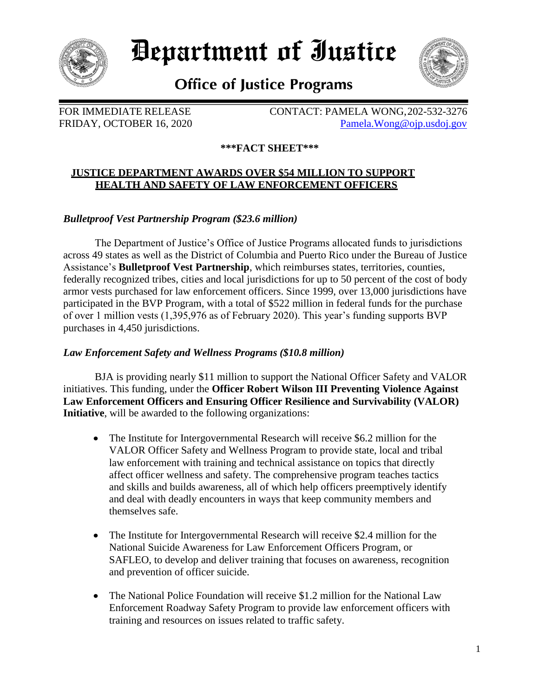

# *Department of Iustice*



# **Office of Justice Programs**

FOR IMMEDIATE RELEASE CONTACT: PAMELA WONG, 202-532-3276 FRIDAY, OCTOBER 16, 2020 [Pamela.Wong@ojp.usdoj.gov](mailto:mailtoPamela.Wong@ojp.usdoj.gov)

## **\*\*\*FACT SHEET\*\*\***

#### **JUSTICE DEPARTMENT AWARDS OVER \$54 MILLION TO SUPPORT HEALTH AND SAFETY OF LAW ENFORCEMENT OFFICERS**

*Bulletproof Vest Partnership Program (\$23.6 million)*

The Department of Justice's Office of Justice Programs allocated funds to jurisdictions across 49 states as well as the District of Columbia and Puerto Rico under the Bureau of Justice Assistance's **Bulletproof Vest Partnership**, which reimburses states, territories, counties, federally recognized tribes, cities and local jurisdictions for up to 50 percent of the cost of body armor vests purchased for law enforcement officers. Since 1999, over 13,000 jurisdictions have participated in the BVP Program, with a total of \$522 million in federal funds for the purchase of over 1 million vests (1,395,976 as of February 2020). This year's funding supports BVP purchases in 4,450 jurisdictions.

## *Law Enforcement Safety and Wellness Programs (\$10.8 million)*

BJA is providing nearly \$11 million to support the National Officer Safety and VALOR initiatives. This funding, under the **Officer Robert Wilson III Preventing Violence Against Law Enforcement Officers and Ensuring Officer Resilience and Survivability (VALOR) Initiative**, will be awarded to the following organizations:

- The Institute for Intergovernmental Research will receive \$6.2 million for the VALOR Officer Safety and Wellness Program to provide state, local and tribal law enforcement with training and technical assistance on topics that directly affect officer wellness and safety. The comprehensive program teaches tactics and skills and builds awareness, all of which help officers preemptively identify and deal with deadly encounters in ways that keep community members and themselves safe.
- The Institute for Intergovernmental Research will receive \$2.4 million for the National Suicide Awareness for Law Enforcement Officers Program, or SAFLEO, to develop and deliver training that focuses on awareness, recognition and prevention of officer suicide.
- The National Police Foundation will receive \$1.2 million for the National Law Enforcement Roadway Safety Program to provide law enforcement officers with training and resources on issues related to traffic safety.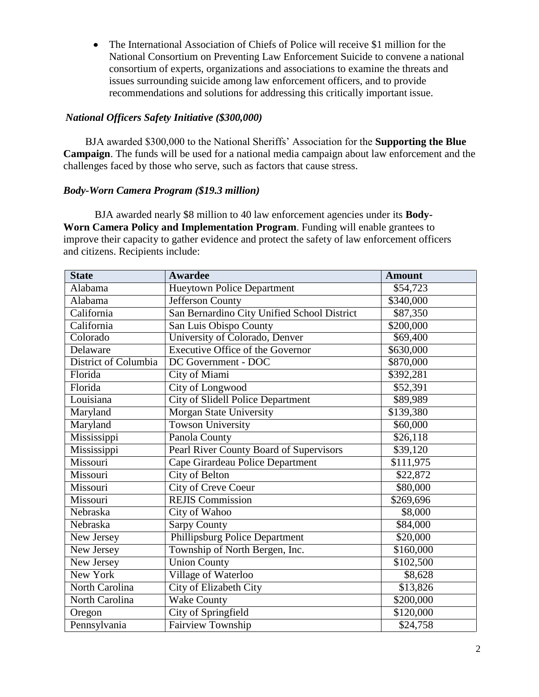The International Association of Chiefs of Police will receive \$1 million for the National Consortium on Preventing Law Enforcement Suicide to convene a national consortium of experts, organizations and associations to examine the threats and issues surrounding suicide among law enforcement officers, and to provide recommendations and solutions for addressing this critically important issue.

#### *National Officers Safety Initiative (\$300,000)*

BJA awarded \$300,000 to the National Sheriffs' Association for the **Supporting the Blue Campaign**. The funds will be used for a national media campaign about law enforcement and the challenges faced by those who serve, such as factors that cause stress.

#### *Body-Worn Camera Program (\$19.3 million)*

BJA awarded nearly \$8 million to 40 law enforcement agencies under its **Body-Worn Camera Policy and Implementation Program**. Funding will enable grantees to improve their capacity to gather evidence and protect the safety of law enforcement officers and citizens. Recipients include:

| <b>State</b>         | <b>Awardee</b>                              | <b>Amount</b> |
|----------------------|---------------------------------------------|---------------|
| Alabama              | <b>Hueytown Police Department</b>           | \$54,723      |
| Alabama              | Jefferson County                            | \$340,000     |
| California           | San Bernardino City Unified School District | \$87,350      |
| California           | San Luis Obispo County                      | \$200,000     |
| Colorado             | University of Colorado, Denver              | \$69,400      |
| Delaware             | <b>Executive Office of the Governor</b>     | \$630,000     |
| District of Columbia | DC Government - DOC                         | \$870,000     |
| Florida              | City of Miami                               | \$392,281     |
| Florida              | City of Longwood                            | \$52,391      |
| Louisiana            | <b>City of Slidell Police Department</b>    | \$89,989      |
| Maryland             | Morgan State University                     | \$139,380     |
| Maryland             | Towson University                           | \$60,000      |
| Mississippi          | Panola County                               | \$26,118      |
| Mississippi          | Pearl River County Board of Supervisors     | \$39,120      |
| Missouri             | Cape Girardeau Police Department            | \$111,975     |
| Missouri             | <b>City of Belton</b>                       | \$22,872      |
| Missouri             | <b>City of Creve Coeur</b>                  | \$80,000      |
| Missouri             | <b>REJIS Commission</b>                     | \$269,696     |
| Nebraska             | City of Wahoo                               | \$8,000       |
| Nebraska             | <b>Sarpy County</b>                         | \$84,000      |
| New Jersey           | Phillipsburg Police Department              | \$20,000      |
| New Jersey           | Township of North Bergen, Inc.              | \$160,000     |
| New Jersey           | <b>Union County</b>                         | \$102,500     |
| New York             | Village of Waterloo                         | \$8,628       |
| North Carolina       | City of Elizabeth City                      | \$13,826      |
| North Carolina       | Wake County                                 | \$200,000     |
| Oregon               | City of Springfield                         | \$120,000     |
| Pennsylvania         | Fairview Township                           | \$24,758      |